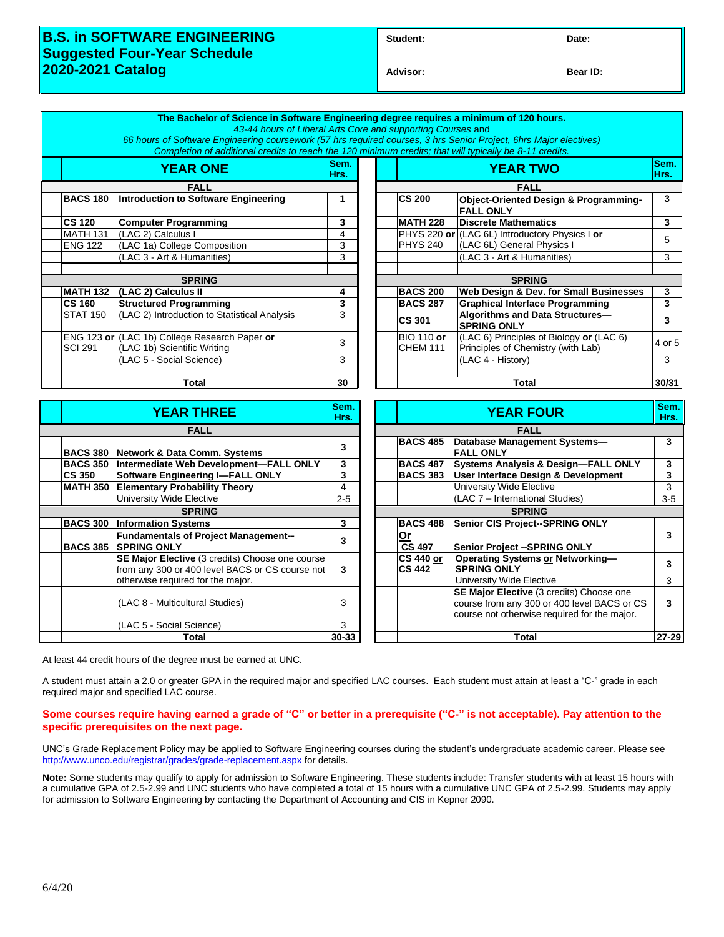## **B.S. in SOFTWARE ENGINEERING Suggested Four-Year Schedule 2020-2021 Catalog**

**Advisor: Bear ID:** 

|                   | The Bachelor of Science in Software Engineering degree requires a minimum of 120 hours.<br>43-44 hours of Liberal Arts Core and supporting Courses and                                                                       |                         |  |                                   |                                                               |                         |
|-------------------|------------------------------------------------------------------------------------------------------------------------------------------------------------------------------------------------------------------------------|-------------------------|--|-----------------------------------|---------------------------------------------------------------|-------------------------|
|                   | 66 hours of Software Engineering coursework (57 hrs required courses, 3 hrs Senior Project, 6hrs Major electives)<br>Completion of additional credits to reach the 120 minimum credits; that will typically be 8-11 credits. |                         |  |                                   |                                                               |                         |
| <b>YEAR ONE</b>   |                                                                                                                                                                                                                              | Sem.<br>Hrs.            |  | <b>YEAR TWO</b>                   |                                                               | Sem.<br>Hrs.            |
| <b>FALL</b>       |                                                                                                                                                                                                                              |                         |  | <b>FALL</b>                       |                                                               |                         |
| <b>BACS 180</b>   | Introduction to Software Engineering                                                                                                                                                                                         | 1                       |  | <b>CS 200</b>                     | Object-Oriented Design & Programming-<br><b>FALL ONLY</b>     | 3                       |
| <b>CS 120</b>     | <b>Computer Programming</b>                                                                                                                                                                                                  | 3                       |  | MATH 228                          | <b>Discrete Mathematics</b>                                   | 3                       |
| <b>MATH 131</b>   | (LAC 2) Calculus I                                                                                                                                                                                                           | $\overline{4}$          |  |                                   | PHYS 220 or (LAC 6L) Introductory Physics I or                | 5                       |
| <b>ENG 122</b>    | (LAC 1a) College Composition                                                                                                                                                                                                 | 3                       |  | PHYS <sub>240</sub>               | (LAC 6L) General Physics I                                    |                         |
|                   | (LAC 3 - Art & Humanities)                                                                                                                                                                                                   | 3                       |  |                                   | (LAC 3 - Art & Humanities)                                    | 3                       |
|                   |                                                                                                                                                                                                                              |                         |  |                                   |                                                               |                         |
|                   | <b>SPRING</b>                                                                                                                                                                                                                |                         |  | <b>SPRING</b>                     |                                                               |                         |
|                   | MATH 132 (LAC 2) Calculus II                                                                                                                                                                                                 | 4                       |  | <b>BACS 200</b>                   | Web Design & Dev. for Small Businesses                        | $\mathbf{3}$            |
| <b>CS 160</b>     | <b>Structured Programming</b>                                                                                                                                                                                                | 3                       |  | <b>BACS 287</b>                   | <b>Graphical Interface Programming</b>                        | $\overline{3}$          |
| <b>STAT 150</b>   | (LAC 2) Introduction to Statistical Analysis                                                                                                                                                                                 | 3                       |  | <b>CS 301</b>                     | Algorithms and Data Structures-<br><b>SPRING ONLY</b>         | $\overline{\mathbf{3}}$ |
|                   | ENG 123 or (LAC 1b) College Research Paper or                                                                                                                                                                                | 3                       |  | <b>BIO 110 or</b>                 | (LAC 6) Principles of Biology or (LAC 6)                      | 4 or 5                  |
| <b>SCI 291</b>    | (LAC 1b) Scientific Writing                                                                                                                                                                                                  |                         |  | <b>CHEM 111</b>                   | Principles of Chemistry (with Lab)                            |                         |
|                   | (LAC 5 - Social Science)                                                                                                                                                                                                     | 3                       |  |                                   | (LAC 4 - History)                                             | $\overline{3}$          |
|                   |                                                                                                                                                                                                                              |                         |  |                                   |                                                               |                         |
|                   | <b>Total</b>                                                                                                                                                                                                                 | 30                      |  |                                   | <b>Total</b>                                                  | 30/31                   |
|                   |                                                                                                                                                                                                                              | Sem.                    |  |                                   |                                                               |                         |
| <b>YEAR THREE</b> |                                                                                                                                                                                                                              |                         |  | <b>YEAR FOUR</b>                  |                                                               | Sem.<br>Hrs.            |
| <b>FALL</b>       |                                                                                                                                                                                                                              |                         |  | <b>FALL</b>                       |                                                               |                         |
|                   | BACS 380 Network & Data Comm. Systems                                                                                                                                                                                        | 3                       |  | <b>BACS 485</b>                   | Database Management Systems-<br><b>FALL ONLY</b>              | $\overline{\mathbf{3}}$ |
|                   | BACS 350 Intermediate Web Development-FALL ONLY                                                                                                                                                                              | $\mathbf{3}$            |  | <b>BACS 487</b>                   | <b>Systems Analysis &amp; Design-FALL ONLY</b>                | $\mathbf{3}$            |
| <b>CS 350</b>     | <b>Software Engineering I-FALL ONLY</b>                                                                                                                                                                                      | 3                       |  | <b>BACS 383</b>                   | User Interface Design & Development                           | $\mathbf{3}$            |
| <b>MATH 350</b>   | <b>Elementary Probability Theory</b>                                                                                                                                                                                         | $\overline{\mathbf{4}}$ |  |                                   | University Wide Elective                                      | $\overline{3}$          |
|                   | University Wide Elective                                                                                                                                                                                                     | $2 - 5$                 |  |                                   | (LAC 7 - International Studies)                               | $3 - 5$                 |
| <b>SPRING</b>     |                                                                                                                                                                                                                              |                         |  | <b>SPRING</b>                     |                                                               |                         |
| <b>BACS 300</b>   | <b>Information Systems</b>                                                                                                                                                                                                   | 3                       |  | <b>BACS 488</b>                   | Senior CIS Project--SPRING ONLY                               |                         |
| <b>BACS 385</b>   | <b>Fundamentals of Project Management--</b><br><b>SPRING ONLY</b>                                                                                                                                                            | 3                       |  | <b>Or</b><br><b>CS 497</b>        | Senior Project -- SPRING ONLY                                 | $\mathbf{3}$            |
|                   | SE Major Elective (3 credits) Choose one course<br>from any 300 or 400 level BACS or CS course not                                                                                                                           | 3                       |  | <b>CS 440 or</b><br><b>CS 442</b> | <b>Operating Systems or Networking-</b><br><b>SPRING ONLY</b> | $\mathbf{3}$            |
|                   | otherwise required for the major.                                                                                                                                                                                            |                         |  |                                   | University Wide Elective                                      | 3                       |
|                   |                                                                                                                                                                                                                              |                         |  |                                   | SE Major Elective (3 credits) Choose one                      |                         |
|                   | (LAC 8 - Multicultural Studies)                                                                                                                                                                                              | 3                       |  |                                   | course from any 300 or 400 level BACS or CS                   | 3                       |
|                   |                                                                                                                                                                                                                              |                         |  |                                   | course not otherwise required for the major.                  |                         |
|                   | (LAC 5 - Social Science)                                                                                                                                                                                                     | 3                       |  |                                   |                                                               |                         |
| Total             |                                                                                                                                                                                                                              | $30 - 33$               |  |                                   | <b>Total</b>                                                  | $27 - 29$               |

At least 44 credit hours of the degree must be earned at UNC.

A student must attain a 2.0 or greater GPA in the required major and specified LAC courses. Each student must attain at least a "C-" grade in each required major and specified LAC course.

#### **Some courses require having earned a grade of "C" or better in a prerequisite ("C-" is not acceptable). Pay attention to the specific prerequisites on the next page.**

UNC's Grade Replacement Policy may be applied to Software Engineering courses during the student's undergraduate academic career. Please see <http://www.unco.edu/registrar/grades/grade-replacement.aspx> for details.

**Note:** Some students may qualify to apply for admission to Software Engineering. These students include: Transfer students with at least 15 hours with a cumulative GPA of 2.5-2.99 and UNC students who have completed a total of 15 hours with a cumulative UNC GPA of 2.5-2.99. Students may apply for admission to Software Engineering by contacting the Department of Accounting and CIS in Kepner 2090.